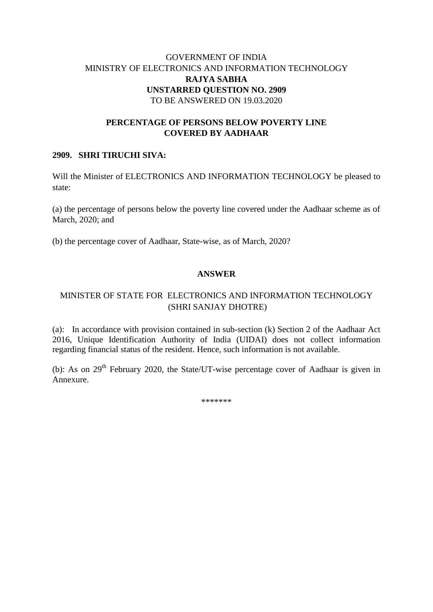## GOVERNMENT OF INDIA MINISTRY OF ELECTRONICS AND INFORMATION TECHNOLOGY **RAJYA SABHA UNSTARRED QUESTION NO. 2909** TO BE ANSWERED ON 19.03.2020

#### **PERCENTAGE OF PERSONS BELOW POVERTY LINE COVERED BY AADHAAR**

#### **2909. SHRI TIRUCHI SIVA:**

Will the Minister of ELECTRONICS AND INFORMATION TECHNOLOGY be pleased to state:

(a) the percentage of persons below the poverty line covered under the Aadhaar scheme as of March, 2020; and

(b) the percentage cover of Aadhaar, State-wise, as of March, 2020?

#### **ANSWER**

# MINISTER OF STATE FOR ELECTRONICS AND INFORMATION TECHNOLOGY (SHRI SANJAY DHOTRE)

(a):In accordance with provision contained in sub-section (k) Section 2 of the Aadhaar Act 2016, Unique Identification Authority of India (UIDAI) does not collect information regarding financial status of the resident. Hence, such information is not available.

(b): As on  $29<sup>th</sup>$  February 2020, the State/UT-wise percentage cover of Aadhaar is given in Annexure.

\*\*\*\*\*\*\*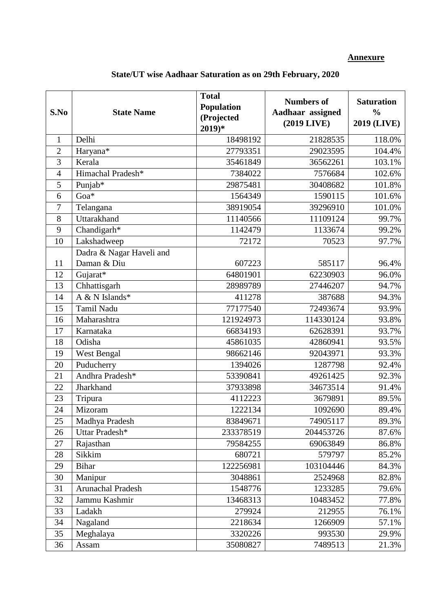## **Annexure**

| S.No           | <b>State Name</b>                       | <b>Total</b><br><b>Population</b><br>(Projected<br>$2019)*$ | <b>Numbers of</b><br>Aadhaar assigned<br>(2019 LIVE) | <b>Saturation</b><br>$\frac{0}{0}$<br><b>2019 (LIVE)</b> |
|----------------|-----------------------------------------|-------------------------------------------------------------|------------------------------------------------------|----------------------------------------------------------|
| $\mathbf{1}$   | Delhi                                   | 18498192                                                    | 21828535                                             | 118.0%                                                   |
| $\overline{2}$ | Haryana*                                | 27793351                                                    | 29023595                                             | 104.4%                                                   |
| 3              | Kerala                                  | 35461849                                                    | 36562261                                             | 103.1%                                                   |
| $\overline{4}$ | Himachal Pradesh*                       | 7384022                                                     | 7576684                                              | 102.6%                                                   |
| 5              | Punjab*                                 | 29875481                                                    | 30408682                                             | 101.8%                                                   |
| 6              | Goa*                                    | 1564349                                                     | 1590115                                              | 101.6%                                                   |
| 7              | Telangana                               | 38919054                                                    | 39296910                                             | 101.0%                                                   |
| 8              | Uttarakhand                             | 11140566                                                    | 11109124                                             | 99.7%                                                    |
| 9              | Chandigarh*                             | 1142479                                                     | 1133674                                              | 99.2%                                                    |
| 10             | Lakshadweep                             | 72172                                                       | 70523                                                | 97.7%                                                    |
| 11             | Dadra & Nagar Haveli and<br>Daman & Diu | 607223                                                      | 585117                                               | 96.4%                                                    |
| 12             | Gujarat*                                | 64801901                                                    | 62230903                                             | 96.0%                                                    |
| 13             | Chhattisgarh                            | 28989789                                                    | 27446207                                             | 94.7%                                                    |
| 14             | $A & N$ Islands*                        | 411278                                                      | 387688                                               | 94.3%                                                    |
| 15             | Tamil Nadu                              | 77177540                                                    | 72493674                                             | 93.9%                                                    |
| 16             | Maharashtra                             | 121924973                                                   | 114330124                                            | 93.8%                                                    |
| 17             | Karnataka                               | 66834193                                                    | 62628391                                             | 93.7%                                                    |
| 18             | Odisha                                  | 45861035                                                    | 42860941                                             | 93.5%                                                    |
| 19             | West Bengal                             | 98662146                                                    | 92043971                                             | 93.3%                                                    |
| 20             | Puducherry                              | 1394026                                                     | 1287798                                              | 92.4%                                                    |
| 21             | Andhra Pradesh*                         | 53390841                                                    | 49261425                                             | 92.3%                                                    |
| 22             | Jharkhand                               | 37933898                                                    | 34673514                                             | 91.4%                                                    |
| 23             | Tripura                                 | 4112223                                                     | 3679891                                              | 89.5%                                                    |
| 24             | Mizoram                                 | 1222134                                                     | 1092690                                              | 89.4%                                                    |
| 25             | Madhya Pradesh                          | 83849671                                                    | 74905117                                             | 89.3%                                                    |
| 26             | Uttar Pradesh*                          | 233378519                                                   | 204453726                                            | 87.6%                                                    |
| 27             | Rajasthan                               | 79584255                                                    | 69063849                                             | 86.8%                                                    |
| 28             | Sikkim                                  | 680721                                                      | 579797                                               | 85.2%                                                    |
| 29             | <b>Bihar</b>                            | 122256981                                                   | 103104446                                            | 84.3%                                                    |
| 30             | Manipur                                 | 3048861                                                     | 2524968                                              | 82.8%                                                    |
| 31             | Arunachal Pradesh                       | 1548776                                                     | 1233285                                              | 79.6%                                                    |
| 32             | Jammu Kashmir                           | 13468313                                                    | 10483452                                             | 77.8%                                                    |
| 33             | Ladakh                                  | 279924                                                      | 212955                                               | 76.1%                                                    |
| 34             | Nagaland                                | 2218634                                                     | 1266909                                              | 57.1%                                                    |
| 35             | Meghalaya                               | 3320226                                                     | 993530                                               | 29.9%                                                    |
| 36             | Assam                                   | 35080827                                                    | 7489513                                              | 21.3%                                                    |

# **State/UT wise Aadhaar Saturation as on 29th February, 2020**